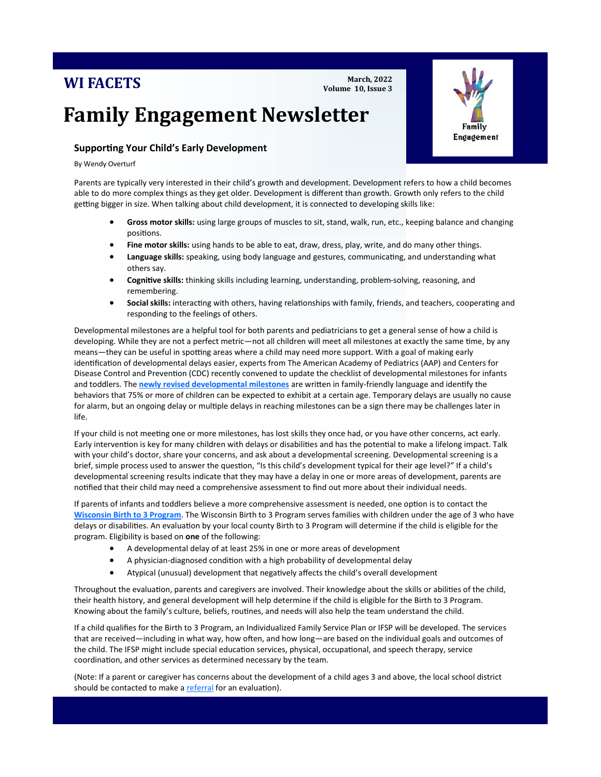## **WI FACETS**

#### **March, 2022 Volume 10, Issue 3**

# **Family Engagement Newsletter**

### **Supporting Your Child's Early Development**

By Wendy Overturf

Parents are typically very interested in their child's growth and development. Development refers to how a child becomes able to do more complex things as they get older. Development is different than growth. Growth only refers to the child getting bigger in size. When talking about child development, it is connected to developing skills like:

- **Gross motor skills:** using large groups of muscles to sit, stand, walk, run, etc., keeping balance and changing positions.
- **Fine motor skills:** using hands to be able to eat, draw, dress, play, write, and do many other things.
- **Language skills:** speaking, using body language and gestures, communicating, and understanding what others say.
- **Cognitive skills:** thinking skills including learning, understanding, problem-solving, reasoning, and remembering.
- **Social skills:** interacting with others, having relationships with family, friends, and teachers, cooperating and responding to the feelings of others.

Developmental milestones are a helpful tool for both parents and pediatricians to get a general sense of how a child is developing. While they are not a perfect metric—not all children will meet all milestones at exactly the same time, by any means—they can be useful in spotting areas where a child may need more support. With a goal of making early identification of developmental delays easier, experts from The American Academy of Pediatrics (AAP) and Centers for Disease Control and Prevention (CDC) recently convened to update the checklist of developmental milestones for infants and toddlers. The **[newly revised developmental milestones](https://www.cdc.gov/ncbddd/actearly/milestones/index.html)** are written in family-friendly language and identify the behaviors that 75% or more of children can be expected to exhibit at a certain age. Temporary delays are usually no cause for alarm, but an ongoing delay or multiple delays in reaching milestones can be a sign there may be challenges later in life.

If your child is not meeting one or more milestones, has lost skills they once had, or you have other concerns, act early. Early intervention is key for many children with delays or disabilities and has the potential to make a lifelong impact. Talk with your child's doctor, share your concerns, and ask about a developmental screening. Developmental screening is a brief, simple process used to answer the question, "Is this child's development typical for their age level?" If a child's developmental screening results indicate that they may have a delay in one or more areas of development, parents are notified that their child may need a comprehensive assessment to find out more about their individual needs.

If parents of infants and toddlers believe a more comprehensive assessment is needed, one option is to contact the **[Wisconsin Birth to 3 Program](https://www.dhs.wisconsin.gov/birthto3/contacts.htm)**. The Wisconsin Birth to 3 Program serves families with children under the age of 3 who have delays or disabilities. An evaluation by your local county Birth to 3 Program will determine if the child is eligible for the program. Eligibility is based on **one** of the following:

- A developmental delay of at least 25% in one or more areas of development
- A physician-diagnosed condition with a high probability of developmental delay
- Atypical (unusual) development that negatively affects the child's overall development

Throughout the evaluation, parents and caregivers are involved. Their knowledge about the skills or abilities of the child, their health history, and general development will help determine if the child is eligible for the Birth to 3 Program. Knowing about the family's culture, beliefs, routines, and needs will also help the team understand the child.

If a child qualifies for the Birth to 3 Program, an Individualized Family Service Plan or IFSP will be developed. The services that are received—including in what way, how often, and how long—are based on the individual goals and outcomes of the child. The IFSP might include special education services, physical, occupational, and speech therapy, service coordination, and other services as determined necessary by the team.

(Note: If a parent or caregiver has concerns about the development of a child ages 3 and above, the local school district should be contacted to make a [referral](https://dpi.wi.gov/sped/laws-procedures-bulletins/procedures/childfind/referrals) for an evaluation).

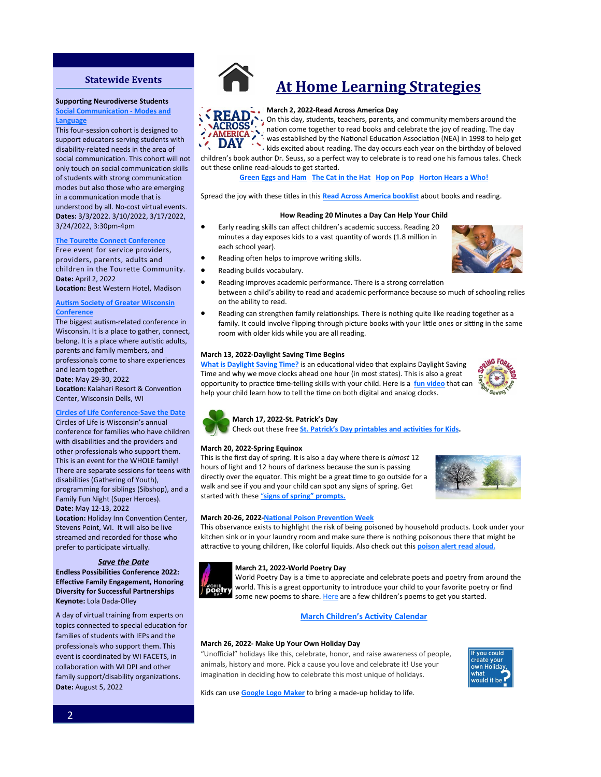#### **Statewide Events**

#### **[Supporting Neurodiver](http://www.familyvoicesofwisconsin.com/trainings/afc/)se Students**

**<u>Social Communication - Modes and</u>** [event for pa](https://cesa1.app.neoncrm.com/np/clients/cesa1/event.jsp?event=2784&)rents, family members, family members, family members, family members,  $\mathbf{r}$ 

This four-session cohort is designed to support educators serving students with disability-related needs in the area of social communication. This cohort will not only touch on social communication skills **Autism Society of Wisconsin's 30th**  [modes but also those who are emerg](https://www.asw4autism.org/event-cal/30th-annual-conference/)ing in a communication mode that is understood by all. No-cost virtual events.<br> $\sum_{n=1}^{\infty}$ **Dates:** 3/3/2022. 3/10/2022, 3/17/2022,<br>3/34/3022. 3.39 vs. 4.39 3/24/2022, 3:30pm-4pm<br>. of students with strong communication

#### **[The Tourette Connect Conference](https://www.eventbrite.com/e/tourette-connect-conference-tickets-250546470237)**

Free event for service providers, providers, parents, adults and children in the Tourette Community. **Date:** April 2, 2022

**Location:** Best Western Hotel, Madison

#### **Autism Society of Greater Wisconsin [Conference](http://www.uww.edu/ce/camps/additional/ecc) Conference**

The biggest autism-related conference in Wisconsin. It is a place to gather, connect, belong. It is a place where autistic adults, parents and family members, and professionals come to share experiences and learn together. The speaker is Robin Fox and she she **Date:** May 29-30, 2022 *Date:* May 29-30, 2022 Location: Kalahari Resort & Convention Center, Wisconsin Dells, WI

### **[Circles of Life Conference](https://www.circlesoflifeconference.com/conference-details/)-Save the Date**

**Circles of Life Conference-Save the L**<br>Circles of Life is Wisconsin's annual encies of the is wisconsin's annual<br>conference for families who have children speaker and will share some of the with disabilities and the providers and with disabilities and the providers and<br>other professionals who support them. other processionals who support them.<br>This is an event for the WHOLE family! and is an event for t There are separate sessions for teens with the little of Catherine CV<sub>2</sub>, the **Location:** UW-Whitewater, Whitewater programming for siblings (Sibshop), and a Family Fun Night (Super Heroes).<br>Pate 14th 13,13,2933 **Location:** Holiday Inn Convention Center, parents and family members who have Stevens Point, WI. It will also be live sterens rising that it this disclose live<br>streamed and recorded for those who prefer to participate virtually. disabilities (Gathering of Youth), **Date:** May 12-13, 2022

#### **Location: Save the Date**

p. c. c. to participate

**Endless Possibilities Conference 2022: Diversity for Successful Partnerships Keynote:** Lola Dada-Olley **Effective Family Engagement, Honoring** 

**Disabilities- Save the Date!**  A day of virtual training from experts on topics connected to special education for families of students with IEPs and the professionals who support them. This event is coordinated by WI FACETS, in collaboration with WI DPI and other family support/disability organizations. **Date:** August 5, 2022



## **At Home Learning Strategies**

#### **March 2, 2022-Read Across America Day**

 $\cdot$ , On this day, students, teachers, parents, and community members around the ALKUSS ... nation come together to read books and celebrate the joy of reading. The day **ACROSS** was established by the National Education Association (NEA) in 1998 to help get DAY A Was established by the National Exercision Charles year on the birthday of beloved children's book author Dr. Seuss, so a perfect way to celebrate is to read one his famous tales. Check

#### out these online read-alouds to get started. **[Green Eggs and Ham](https://www.youtube.com/watch?v=jdotPwVJYzs) [The Cat in the Hat](https://www.youtube.com/watch?v=-LL62u6-OjY) [Hop on Pop](https://www.youtube.com/watch?v=7-E1wOd7-k8) [Horton Hears a Who!](https://www.youtube.com/watch?v=B-i1E1UbwVI)**

Spread the joy with these titles in this **[Read Across America booklist](https://www.worldcat.org/profiles/ReadAcrossAmerica/lists/3209938)** about books and reading.

#### **How Reading 20 Minutes a Day Can Help Your Child**

- Early reading skills can affect children's academic success. Reading 20 minutes a day exposes kids to a vast quantity of words (1.8 million in each school year).
- Reading often helps to improve writing skills.
- Reading builds vocabulary.



- Reading improves academic performance. There is a strong correlation between a child's ability to read and academic performance because so much of schooling relies on the ability to read.
- Reading can strengthen family relationships. There is nothing quite like reading together as a family. It could involve flipping through picture books with your little ones or sitting in the same room with older kids while you are all reading.

#### **March 13, 2022-Daylight Saving Time Begins**

**[What is Daylight Saving Time?](https://www.youtube.com/watch?v=6UXG4u9loYQ)** is an educational video that explains Daylight Saving Time and why we move clocks ahead one hour (in most states). This is also a great opportunity to practice time-telling skills with your child. Here is a **[fun video](https://www.youtube.com/watch?v=Jmx8OUDrDq4)** that can help your child learn how to tell the time on both digital and analog clocks.





#### **March 17, 2022-St. Patrick's Day**

Check out these free **St. Patrick'[s Day printables and activities for Kids.](https://www.modernmami.com/st-patricks-day-activities-printables-for-kids/)**

#### **March 20, 2022-Spring Equinox**

This is the first day of spring. It is also a day where there is *almost* 12 hours of light and 12 hours of darkness because the sun is passing directly over the equator. This might be a great time to go outside for a walk and see if you and your child can spot any signs of spring. Get started with these "**[signs of spring](https://www.backwoodsmama.com/2019/04/signs-of-spring-nature-walk-for-kids-free-printables.html)" prompts.**



#### **March 20-26, 2022-[National Poison Prevention Week](https://www.aapcc.org/nppw-2022)**

This observance exists to highlight the risk of being poisoned by household products. Look under your kitchen sink or in your laundry room and make sure there is nothing poisonous there that might be attractive to young children, like colorful liquids. Also check out this **[poison alert read aloud.](https://www.youtube.com/watch?v=__p__zxY6II)**



#### **March 21, 2022-World Poetry Day**

World Poetry Day is a time to appreciate and celebrate poets and poetry from around the world. This is a great opportunity to introduce your child to your favorite poetry or find some try world. This is a great opportunity to museum and the poems to get you started.<br>**Poetry** some new poems to share. [Here](https://www.famlii.com/favorite-childrens-poems-for-world-poetry-day/) are a few children's poems to get you started.

#### **March Children'[s Activity Calendar](https://ideas.demco.com/blog/childrens-activity-calendar-march-2022/)**

#### **March 26, 2022- Make Up Your Own Holiday Day**

"Unofficial" holidays like this, celebrate, honor, and raise awareness of people, animals, history and more. Pick a cause you love and celebrate it! Use your imagination in deciding how to celebrate this most unique of holidays.



Kids can use **[Google Logo Maker](https://csfirst.withgoogle.com/c/cs-first/en/create-your-own-google-logo/create-your-own-google-logo/create-your-own-google-logo.html)** to bring a made-up holiday to life.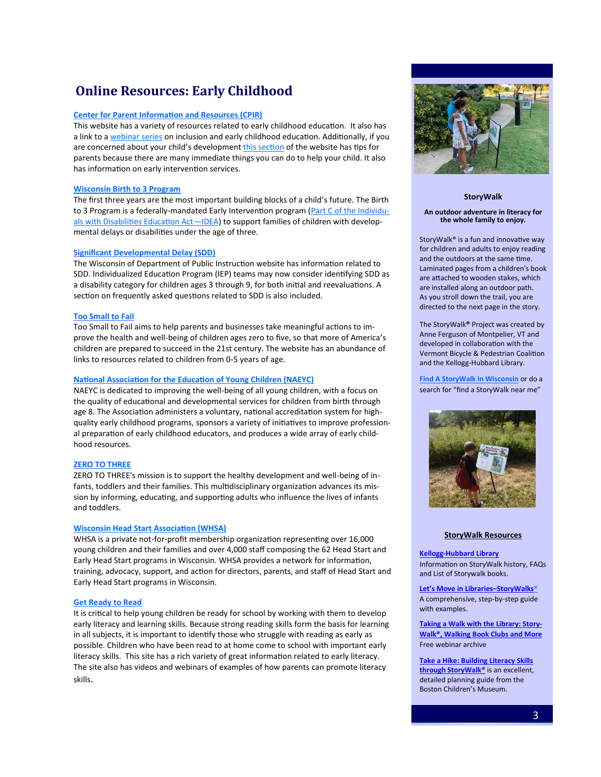### **Online Resources: Early Childhood**

#### **[Center for Parent Information and Resources \(CPIR\)](http://www.parentcenterhub.org/?s=early+childhood)**

This website has a variety of resources related to early childhood education. It also has a link to a [webinar series](https://ectacenter.org/~calls/2016/nationalinclusion.asp) on inclusion and early childhood education. Additionally, if you are concerned about your child's development [this section](https://www.parentcenterhub.org/dd/) of the website has tips for parents because there are many immediate things you can do to help your child. It also has information on early intervention services.

#### **[Wisconsin Birth to 3 Program](https://www.dhs.wisconsin.gov/birthto3/index.htm)**

The first three years are the most important building blocks of a child's future. The Birth to 3 Program is a federally-mandated Early Intervention program ([Part C of the Individu](https://sites.ed.gov/idea/regs/c)als with Disabilities Education Act-IDEA) to support families of children with developmental delays or disabilities under the age of three.

#### **[Significant Developmental Delay \(SDD\)](https://dpi.wi.gov/sped/program/significant-developmental-delay)**

The Wisconsin of Department of Public Instruction website has information related to SDD. Individualized Education Program (IEP) teams may now consider identifying SDD as a disability category for children ages 3 through 9, for both initial and reevaluations. A section on frequently asked questions related to SDD is also included.

#### **[Too Small to Fail](http://toosmall.org/)**

Too Small to Fail aims to help parents and businesses take meaningful actions to improve the health and well-being of children ages zero to five, so that more of America's children are prepared to succeed in the 21st century. The website has an abundance of links to resources related to children from 0-5 years of age.

#### **[National Association for the Education of Young Children \(NAEYC\)](https://www.naeyc.org/)**

NAEYC is dedicated to improving the well-being of all young children, with a focus on the quality of educational and developmental services for children from birth through age 8. The Association administers a voluntary, national accreditation system for highquality early childhood programs, sponsors a variety of initiatives to improve professional preparation of early childhood educators, and produces a wide array of early childhood resources.

#### **[ZERO TO THREE](https://www.zerotothree.org/)**

ZERO TO THREE's mission is to support the healthy development and well-being of infants, toddlers and their families. This multidisciplinary organization advances its mission by informing, educating, and supporting adults who influence the lives of infants and toddlers.

#### **[Wisconsin Head Start Association \(WHSA\)](https://whsaonline.org/head-start-wisconsin/)**

WHSA is a private not-for-profit membership organization representing over 16,000 young children and their families and over 4,000 staff composing the 62 Head Start and Early Head Start programs in Wisconsin. WHSA provides a network for information, training, advocacy, support, and action for directors, parents, and staff of Head Start and Early Head Start programs in Wisconsin.

#### **[Get Ready to Read](http://www.getreadytoread.org/early-learning-childhood-basics/early-literacy)**

It is critical to help young children be ready for school by working with them to develop early literacy and learning skills. Because strong reading skills form the basis for learning in all subjects, it is important to identify those who struggle with reading as early as possible. Children who have been read to at home come to school with important early literacy skills. This site has a rich variety of great information related to early literacy. The site also has videos and webinars of examples of how parents can promote literacy skills.



#### **StoryWalk**

#### **An outdoor adventure in literacy for the whole family to enjoy.**

StoryWalk® is a fun and innovative way for children and adults to enjoy reading and the outdoors at the same time. Laminated pages from a children's book are attached to wooden stakes, which are installed along an outdoor path. As you stroll down the trail, you are directed to the next page in the story.

The StoryWalk**®** Project was created by Anne Ferguson of Montpelier, VT and developed in collaboration with the Vermont Bicycle & Pedestrian Coalition and the Kellogg-Hubbard Library.

**[Find A StoryWalk in Wisconsin](https://www.google.com/search?q=find+a+storywalk+in+wisconsin&rlz=1C1CHBF_enUS967US967&oq=find+a+storywalk+in+wisconsin&aqs=chrome..69i57j33i299.7437j0j15&sourceid=chrome&ie=UTF-8)** or do a search for "find a StoryWalk near me"



#### **StoryWalk Resources**

**Kellogg-[Hubbard Library](https://www.kellogghubbard.org/storywalk)** Information on StoryWalk history, FAQs and List of Storywalk books.

**Let'[s Move in Libraries–StoryWalks](https://letsmovelibraries.org/storywalk/)**® A comprehensive, step-by-step guide with examples.

**[Taking a Walk with the Library: Story-](https://www.youtube.com/watch?v=mhYgSzTCkCA)[Walk®, Walking Book Clubs and More](https://www.youtube.com/watch?v=mhYgSzTCkCA)** Free webinar archive

**[Take a Hike: Building Literacy Skills](https://www.bostonchildrensmuseum.org/sites/default/files/pdfs/rttt/storywalk/storywalk_v3web.pdf)  [through StoryWalk](https://www.bostonchildrensmuseum.org/sites/default/files/pdfs/rttt/storywalk/storywalk_v3web.pdf)**® is an excellent, detailed planning guide from the Boston Children's Museum.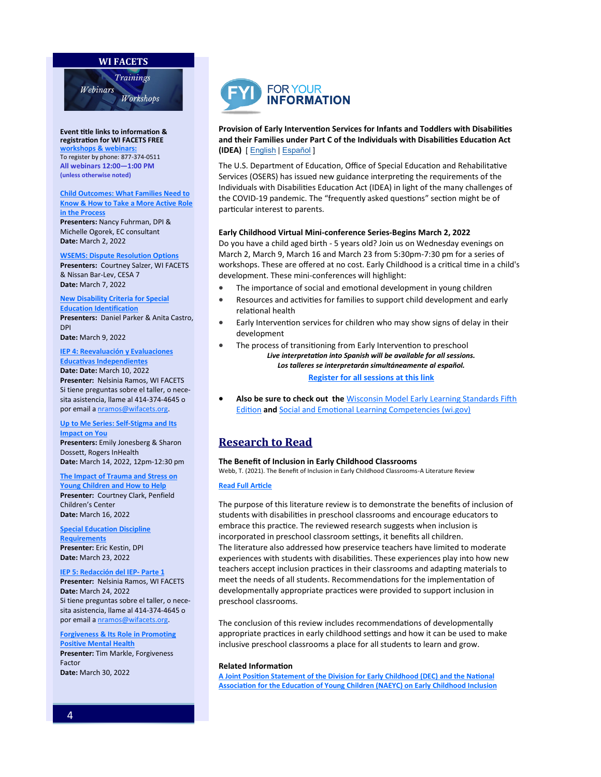#### **WI FACETS**



**Event title links to information [&](http://www.wifacets.org/events)  registration for WI FACETS FREE workshops & w**e To register by phone: 877-374-0511 **All webinars 12:00—1:00 PM (unless otherwise noted)**

**[Child Outcomes: What Families Need to](https://wifacets.org/events/event/child-outcomes-what-families-need-know-how-take-more-active-role-process)  [Know & How to Take a More Active Role](https://wifacets.org/events/event/child-outcomes-what-families-need-know-how-take-more-active-role-process)  [in the Process](https://wifacets.org/events/event/child-outcomes-what-families-need-know-how-take-more-active-role-process) Presenters:** Nancy Fuhrman, DPI & Michelle Ogorek, EC consultant

**[WSEMS: Dispute Resolution Options](https://wifacets.org/events/event/wsems-dispute-resolution-options-13) Presenters:** Courtney Salzer, WI FACETS & Nissan Bar-Lev, CESA 7 **Date:** March 7, 2022

**[New Disability Criteria for Special](https://wifacets.org/events/event/new-disability-criteria-special-education-identification)  [Education Identification](https://wifacets.org/events/event/new-disability-criteria-special-education-identification)**

**Presenters:** Daniel Parker & Anita Castro, DPI

**Date:** March 9, 2022

**Date:** March 2, 2022

**[IEP 4: Reevaluación y Evaluaciones](https://wifacets.org/events/event/iep-4-reevaluaci%C3%B3n-y-evaluaciones-educativas-independientes)  [Educativas Independientes](https://wifacets.org/events/event/iep-4-reevaluaci%C3%B3n-y-evaluaciones-educativas-independientes) Date: Date:** March 10, 2022

**Presenter:** Nelsinia Ramos, WI FACETS Si tiene preguntas sobre el taller, o necesita asistencia, llame al 414-374-4645 o por email a [nramos@wifacets.org.](mailto:nramos@wifacets.org)

#### **[Up to Me Series: Self](https://wifacets.org/events/event/me-series-self-stigma-and-its-impact-you)-Stigma and Its [Impact on You](https://wifacets.org/events/event/me-series-self-stigma-and-its-impact-you)**

**Presenters:** Emily Jonesberg & Sharon Dossett, Rogers InHealth **Date:** March 14, 2022, 12pm-12:30 pm

**[The Impact of Trauma and Stress on](https://wifacets.org/events/event/impact-trauma-and-stress-young-children-and-how-help)  [Young Children and How to Help](https://wifacets.org/events/event/impact-trauma-and-stress-young-children-and-how-help) Presenter:** Courtney Clark, Penfield Children's Center **Date:** March 16, 2022

**[Special Education Discipline](https://wifacets.org/events/event/special-education-discipline-requirements-6)  [Requirements](https://wifacets.org/events/event/special-education-discipline-requirements-6) Presenter:** Eric Kestin, DPI **Date:** March 23, 2022

**[IEP 5: Redacción del IEP](https://wifacets.org/events/event/iep-5-redacci%C3%B3n-del-iep-parte-1)- Parte 1 Presenter:** Nelsinia Ramos, WI FACETS **Date:** March 24, 2022 Si tiene preguntas sobre el taller, o necesita asistencia, llame al 414-374-4645 o

**[Forgiveness & Its Role in Promoting](https://wifacets.org/events/event/forgiveness-its-role-promoting-positive-mental-health)  [Positive Mental Health](https://wifacets.org/events/event/forgiveness-its-role-promoting-positive-mental-health) Presenter:** Tim Markle, Forgiveness Factor **Date:** March 30, 2022

por email a [nramos@wifacets.org.](mailto:nramos@wifacets.org)



#### **Provision of Early Intervention Services for Infants and Toddlers with Disabilities and their Families under Part C of the Individuals with Disabilities Education Act (IDEA)** [ [English](https://sites.ed.gov/idea/idea-files/return-to-school-roadmap-provision-of-early-intervention-services-oct-29-2021/) | [Español](https://sites.ed.gov/idea/idea-files/hoja-de-ruta-de-regreso-a-la-escuela-prestacion-de-servicios-de-intervencion-temprana-29-de-octubre-de-2021/) ]

The U.S. Department of Education, Office of Special Education and Rehabilitative Services (OSERS) has issued new guidance interpreting the requirements of the Individuals with Disabilities Education Act (IDEA) in light of the many challenges of the COVID-19 pandemic. The "frequently asked questions" section might be of particular interest to parents.

#### **Early Childhood Virtual Mini-conference Series-Begins March 2, 2022**

Do you have a child aged birth - 5 years old? Join us on Wednesday evenings on March 2, March 9, March 16 and March 23 from 5:30pm-7:30 pm for a series of workshops. These are offered at no cost. Early Childhood is a critical time in a child's development. These mini-conferences will highlight:

- The importance of social and emotional development in young children
- Resources and activities for families to support child development and early relational health
- Early Intervention services for children who may show signs of delay in their development
- The process of transitioning from Early Intervention to preschool *Live interpretation into Spanish will be available for all sessions. Los talleres se interpretarán simultáneamente al español.* **[Register for all sessions at this link](https://www.eventbrite.com/e/early-childhood-mini-conference-registration-265258534417)**
- **Also be sure to check out the** [Wisconsin Model Early Learning Standards Fifth](https://dpi.wi.gov/sites/default/files/imce/standards/New%20pdfs/dpl-wmels-5-web.pdf)  [Edition](https://dpi.wi.gov/sites/default/files/imce/standards/New%20pdfs/dpl-wmels-5-web.pdf) **and** [Social and Emotional Learning Competencies \(wi.gov\)](https://dpi.wi.gov/sites/default/files/imce/sspw/SEL-Competencies-Guide-web.pdf)

### **Research to Read**

#### **The Benefit of Inclusion in Early Childhood Classrooms**

Webb, T. (2021). The Benefit of Inclusion in Early Childhood Classrooms-A Literature Review

#### **[Read Full Article](https://nwcommons.nwciowa.edu/cgi/viewcontent.cgi?article=1332&context=education_masters)**

The purpose of this literature review is to demonstrate the benefits of inclusion of students with disabilities in preschool classrooms and encourage educators to embrace this practice. The reviewed research suggests when inclusion is incorporated in preschool classroom settings, it benefits all children. The literature also addressed how preservice teachers have limited to moderate experiences with students with disabilities. These experiences play into how new teachers accept inclusion practices in their classrooms and adapting materials to meet the needs of all students. Recommendations for the implementation of developmentally appropriate practices were provided to support inclusion in preschool classrooms.

The conclusion of this review includes recommendations of developmentally appropriate practices in early childhood settings and how it can be used to make inclusive preschool classrooms a place for all students to learn and grow.

#### **Related Information**

**[A Joint Position Statement of the Division for Early Childhood \(DEC\) and the National](https://www.naeyc.org/sites/default/files/globally-shared/downloads/PDFs/resources/position-statements/ps_inclusion_dec_naeyc_ec.pdf)  [Association for the Education of Young Children \(NAEYC\) on Early Childhood Inclusion](https://www.naeyc.org/sites/default/files/globally-shared/downloads/PDFs/resources/position-statements/ps_inclusion_dec_naeyc_ec.pdf)**